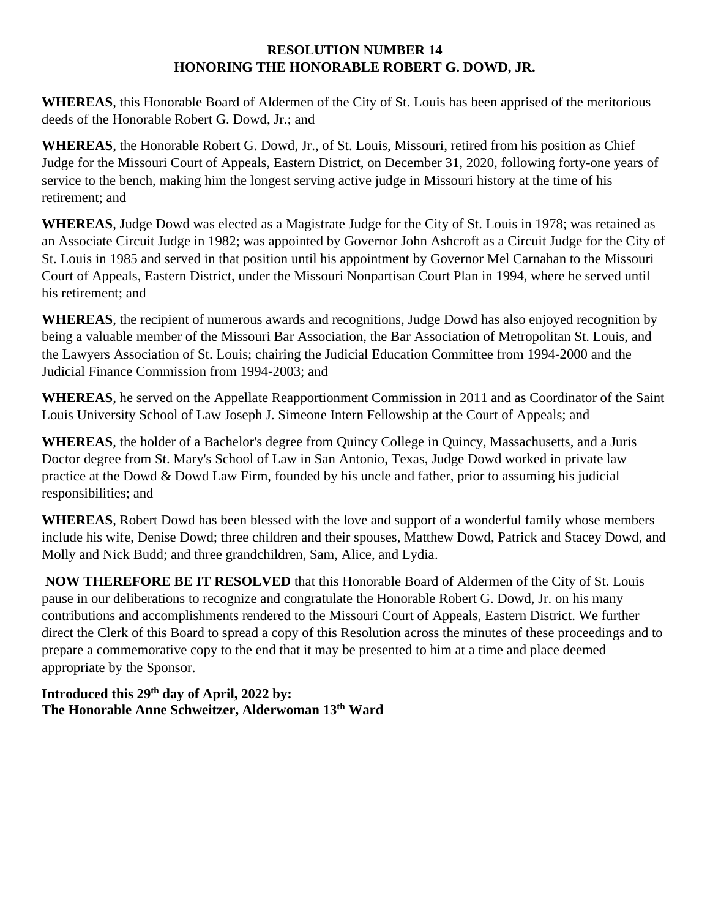## **RESOLUTION NUMBER 14 HONORING THE HONORABLE ROBERT G. DOWD, JR.**

**WHEREAS**, this Honorable Board of Aldermen of the City of St. Louis has been apprised of the meritorious deeds of the Honorable Robert G. Dowd, Jr.; and

**WHEREAS**, the Honorable Robert G. Dowd, Jr., of St. Louis, Missouri, retired from his position as Chief Judge for the Missouri Court of Appeals, Eastern District, on December 31, 2020, following forty-one years of service to the bench, making him the longest serving active judge in Missouri history at the time of his retirement; and

**WHEREAS**, Judge Dowd was elected as a Magistrate Judge for the City of St. Louis in 1978; was retained as an Associate Circuit Judge in 1982; was appointed by Governor John Ashcroft as a Circuit Judge for the City of St. Louis in 1985 and served in that position until his appointment by Governor Mel Carnahan to the Missouri Court of Appeals, Eastern District, under the Missouri Nonpartisan Court Plan in 1994, where he served until his retirement; and

**WHEREAS**, the recipient of numerous awards and recognitions, Judge Dowd has also enjoyed recognition by being a valuable member of the Missouri Bar Association, the Bar Association of Metropolitan St. Louis, and the Lawyers Association of St. Louis; chairing the Judicial Education Committee from 1994-2000 and the Judicial Finance Commission from 1994-2003; and

**WHEREAS**, he served on the Appellate Reapportionment Commission in 2011 and as Coordinator of the Saint Louis University School of Law Joseph J. Simeone Intern Fellowship at the Court of Appeals; and

**WHEREAS**, the holder of a Bachelor's degree from Quincy College in Quincy, Massachusetts, and a Juris Doctor degree from St. Mary's School of Law in San Antonio, Texas, Judge Dowd worked in private law practice at the Dowd & Dowd Law Firm, founded by his uncle and father, prior to assuming his judicial responsibilities; and

**WHEREAS**, Robert Dowd has been blessed with the love and support of a wonderful family whose members include his wife, Denise Dowd; three children and their spouses, Matthew Dowd, Patrick and Stacey Dowd, and Molly and Nick Budd; and three grandchildren, Sam, Alice, and Lydia.

**NOW THEREFORE BE IT RESOLVED** that this Honorable Board of Aldermen of the City of St. Louis pause in our deliberations to recognize and congratulate the Honorable Robert G. Dowd, Jr. on his many contributions and accomplishments rendered to the Missouri Court of Appeals, Eastern District. We further direct the Clerk of this Board to spread a copy of this Resolution across the minutes of these proceedings and to prepare a commemorative copy to the end that it may be presented to him at a time and place deemed appropriate by the Sponsor.

## **Introduced this 29th day of April, 2022 by: The Honorable Anne Schweitzer, Alderwoman 13 th Ward**